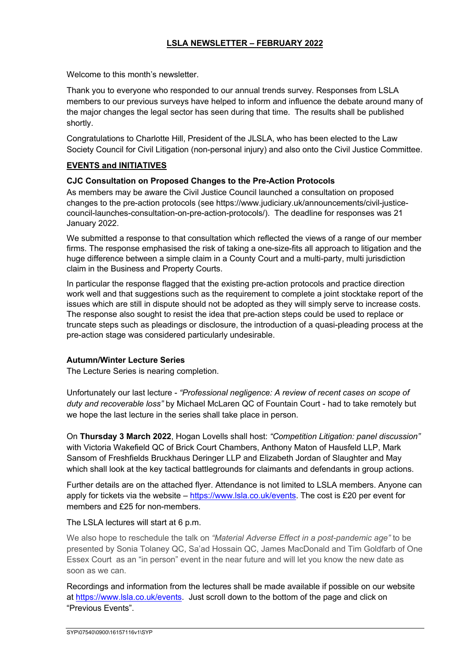# **LSLA NEWSLETTER – FEBRUARY 2022**

Welcome to this month's newsletter.

Thank you to everyone who responded to our annual trends survey. Responses from LSLA members to our previous surveys have helped to inform and influence the debate around many of the major changes the legal sector has seen during that time. The results shall be published shortly.

Congratulations to Charlotte Hill, President of the JLSLA, who has been elected to the Law Society Council for Civil Litigation (non-personal injury) and also onto the Civil Justice Committee.

## **EVENTS and INITIATIVES**

#### **CJC Consultation on Proposed Changes to the Pre-Action Protocols**

As members may be aware the Civil Justice Council launched a consultation on proposed changes to the pre-action protocols (see https://www.judiciary.uk/announcements/civil-justicecouncil-launches-consultation-on-pre-action-protocols/). The deadline for responses was 21 January 2022.

We submitted a response to that consultation which reflected the views of a range of our member firms. The response emphasised the risk of taking a one-size-fits all approach to litigation and the huge difference between a simple claim in a County Court and a multi-party, multi jurisdiction claim in the Business and Property Courts.

In particular the response flagged that the existing pre-action protocols and practice direction work well and that suggestions such as the requirement to complete a joint stocktake report of the issues which are still in dispute should not be adopted as they will simply serve to increase costs. The response also sought to resist the idea that pre-action steps could be used to replace or truncate steps such as pleadings or disclosure, the introduction of a quasi-pleading process at the pre-action stage was considered particularly undesirable.

#### **Autumn/Winter Lecture Series**

The Lecture Series is nearing completion.

Unfortunately our last lecture - *"Professional negligence: A review of recent cases on scope of duty and recoverable loss"* by Michael McLaren QC of Fountain Court - had to take remotely but we hope the last lecture in the series shall take place in person.

On **Thursday 3 March 2022**, Hogan Lovells shall host: *"Competition Litigation: panel discussion"* with Victoria Wakefield QC of Brick Court Chambers, Anthony Maton of Hausfeld LLP, Mark Sansom of Freshfields Bruckhaus Deringer LLP and Elizabeth Jordan of Slaughter and May which shall look at the key tactical battlegrounds for claimants and defendants in group actions.

Further details are on the attached flyer. Attendance is not limited to LSLA members. Anyone can apply for tickets via the website – https://www.lsla.co.uk/events. The cost is £20 per event for members and £25 for non-members.

#### The LSLA lectures will start at 6 p.m.

We also hope to reschedule the talk on *"Material Adverse Effect in a post-pandemic age"* to be presented by Sonia Tolaney QC, Sa'ad Hossain QC, James MacDonald and Tim Goldfarb of One Essex Court as an "in person" event in the near future and will let you know the new date as soon as we can.

Recordings and information from the lectures shall be made available if possible on our website at https://www.lsla.co.uk/events. Just scroll down to the bottom of the page and click on "Previous Events".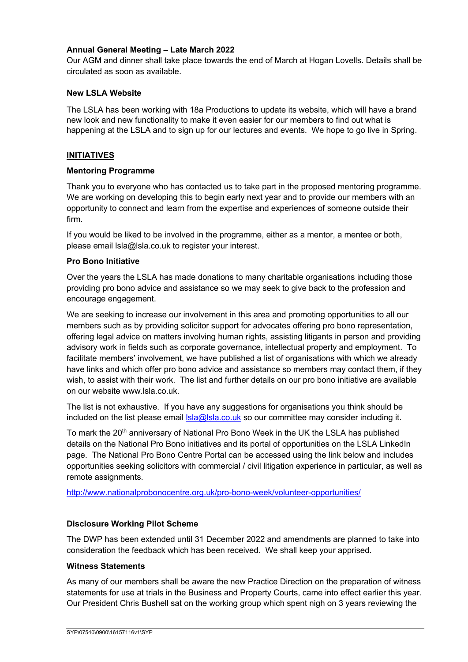#### **Annual General Meeting – Late March 2022**

Our AGM and dinner shall take place towards the end of March at Hogan Lovells. Details shall be circulated as soon as available.

#### **New LSLA Website**

The LSLA has been working with 18a Productions to update its website, which will have a brand new look and new functionality to make it even easier for our members to find out what is happening at the LSLA and to sign up for our lectures and events. We hope to go live in Spring.

#### **INITIATIVES**

#### **Mentoring Programme**

Thank you to everyone who has contacted us to take part in the proposed mentoring programme. We are working on developing this to begin early next year and to provide our members with an opportunity to connect and learn from the expertise and experiences of someone outside their firm.

If you would be liked to be involved in the programme, either as a mentor, a mentee or both, please email lsla@lsla.co.uk to register your interest.

#### **Pro Bono Initiative**

Over the years the LSLA has made donations to many charitable organisations including those providing pro bono advice and assistance so we may seek to give back to the profession and encourage engagement.

We are seeking to increase our involvement in this area and promoting opportunities to all our members such as by providing solicitor support for advocates offering pro bono representation, offering legal advice on matters involving human rights, assisting litigants in person and providing advisory work in fields such as corporate governance, intellectual property and employment. To facilitate members' involvement, we have published a list of organisations with which we already have links and which offer pro bono advice and assistance so members may contact them, if they wish, to assist with their work. The list and further details on our pro bono initiative are available on our website www.lsla.co.uk.

The list is not exhaustive. If you have any suggestions for organisations you think should be included on the list please email  $\text{lsla@lsla.co.uk}$  so our committee may consider including it.

To mark the 20<sup>th</sup> anniversary of National Pro Bono Week in the UK the LSLA has published details on the National Pro Bono initiatives and its portal of opportunities on the LSLA LinkedIn page. The National Pro Bono Centre Portal can be accessed using the link below and includes opportunities seeking solicitors with commercial / civil litigation experience in particular, as well as remote assignments.

http://www.nationalprobonocentre.org.uk/pro-bono-week/volunteer-opportunities/

## **Disclosure Working Pilot Scheme**

The DWP has been extended until 31 December 2022 and amendments are planned to take into consideration the feedback which has been received. We shall keep your apprised.

#### **Witness Statements**

As many of our members shall be aware the new Practice Direction on the preparation of witness statements for use at trials in the Business and Property Courts, came into effect earlier this year. Our President Chris Bushell sat on the working group which spent nigh on 3 years reviewing the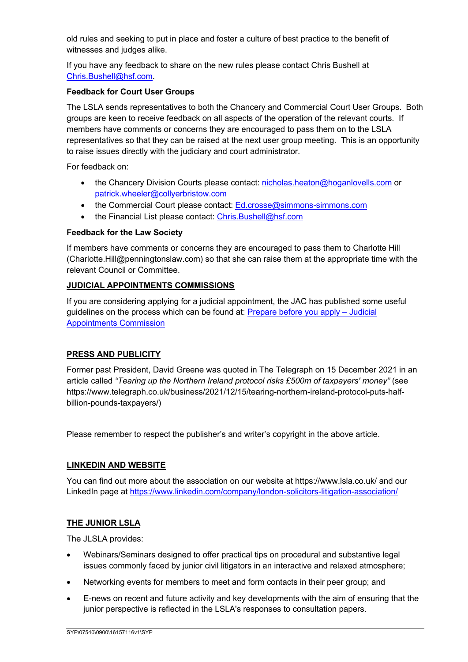old rules and seeking to put in place and foster a culture of best practice to the benefit of witnesses and judges alike.

If you have any feedback to share on the new rules please contact Chris Bushell at Chris.Bushell@hsf.com.

#### **Feedback for Court User Groups**

The LSLA sends representatives to both the Chancery and Commercial Court User Groups. Both groups are keen to receive feedback on all aspects of the operation of the relevant courts. If members have comments or concerns they are encouraged to pass them on to the LSLA representatives so that they can be raised at the next user group meeting. This is an opportunity to raise issues directly with the judiciary and court administrator.

For feedback on:

- the Chancery Division Courts please contact: nicholas.heaton@hoganlovells.com or patrick.wheeler@collyerbristow.com
- the Commercial Court please contact: Ed.crosse@simmons-simmons.com
- the Financial List please contact: Chris.Bushell@hsf.com

#### **Feedback for the Law Society**

If members have comments or concerns they are encouraged to pass them to Charlotte Hill (Charlotte.Hill@penningtonslaw.com) so that she can raise them at the appropriate time with the relevant Council or Committee.

#### **JUDICIAL APPOINTMENTS COMMISSIONS**

If you are considering applying for a judicial appointment, the JAC has published some useful guidelines on the process which can be found at: Prepare before you apply – Judicial Appointments Commission

## **PRESS AND PUBLICITY**

Former past President, David Greene was quoted in The Telegraph on 15 December 2021 in an article called *"Tearing up the Northern Ireland protocol risks £500m of taxpayers' money"* (see https://www.telegraph.co.uk/business/2021/12/15/tearing-northern-ireland-protocol-puts-halfbillion-pounds-taxpayers/)

Please remember to respect the publisher's and writer's copyright in the above article.

## **LINKEDIN AND WEBSITE**

You can find out more about the association on our website at https://www.lsla.co.uk/ and our LinkedIn page at https://www.linkedin.com/company/london-solicitors-litigation-association/

## **THE JUNIOR LSLA**

The JLSLA provides:

- Webinars/Seminars designed to offer practical tips on procedural and substantive legal issues commonly faced by junior civil litigators in an interactive and relaxed atmosphere;
- Networking events for members to meet and form contacts in their peer group; and
- E-news on recent and future activity and key developments with the aim of ensuring that the junior perspective is reflected in the LSLA's responses to consultation papers.